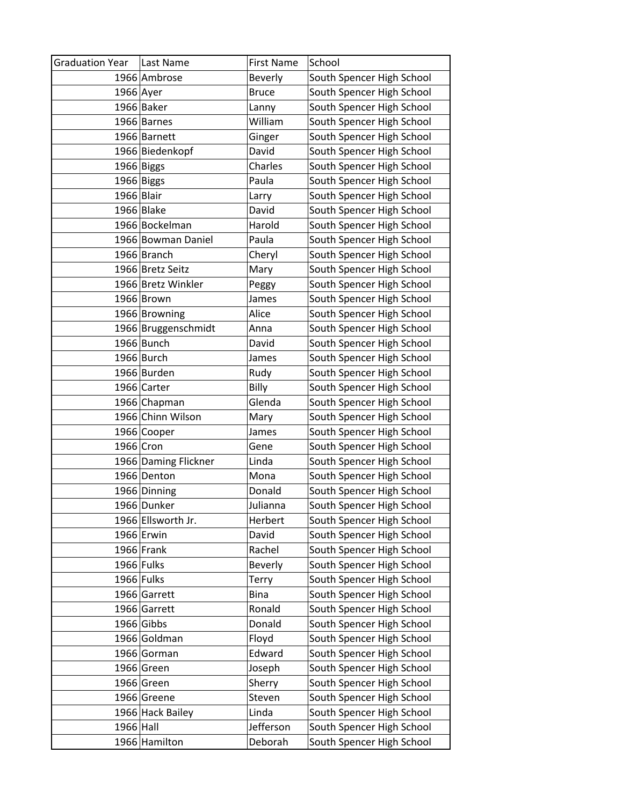| <b>Graduation Year</b> | Last Name            | <b>First Name</b> | School                    |
|------------------------|----------------------|-------------------|---------------------------|
|                        | 1966 Ambrose         | <b>Beverly</b>    | South Spencer High School |
| 1966 Ayer              |                      | <b>Bruce</b>      | South Spencer High School |
|                        | 1966 Baker           | Lanny             | South Spencer High School |
|                        | 1966 Barnes          | William           | South Spencer High School |
|                        | 1966 Barnett         | Ginger            | South Spencer High School |
|                        | 1966 Biedenkopf      | David             | South Spencer High School |
|                        | 1966 Biggs           | Charles           | South Spencer High School |
|                        | 1966 Biggs           | Paula             | South Spencer High School |
| 1966 Blair             |                      | Larry             | South Spencer High School |
|                        | 1966 Blake           | David             | South Spencer High School |
|                        | 1966 Bockelman       | Harold            | South Spencer High School |
|                        | 1966 Bowman Daniel   | Paula             | South Spencer High School |
|                        | 1966 Branch          | Cheryl            | South Spencer High School |
|                        | 1966 Bretz Seitz     | Mary              | South Spencer High School |
|                        | 1966 Bretz Winkler   | Peggy             | South Spencer High School |
|                        | 1966 Brown           | James             | South Spencer High School |
|                        | 1966 Browning        | Alice             | South Spencer High School |
|                        | 1966 Bruggenschmidt  | Anna              | South Spencer High School |
|                        | 1966 Bunch           | David             | South Spencer High School |
|                        | $1966$ Burch         | James             | South Spencer High School |
|                        | 1966 Burden          | Rudy              | South Spencer High School |
|                        | 1966 Carter          | Billy             | South Spencer High School |
|                        | 1966 Chapman         | Glenda            | South Spencer High School |
|                        | 1966 Chinn Wilson    | Mary              | South Spencer High School |
|                        | 1966 Cooper          | James             | South Spencer High School |
| 1966 Cron              |                      | Gene              | South Spencer High School |
|                        | 1966 Daming Flickner | Linda             | South Spencer High School |
|                        | 1966 Denton          | Mona              | South Spencer High School |
|                        | 1966 Dinning         | Donald            | South Spencer High School |
|                        | 1966 Dunker          | Julianna          | South Spencer High School |
|                        | 1966 Ellsworth Jr.   | Herbert           | South Spencer High School |
|                        | 1966 Erwin           | David             | South Spencer High School |
|                        | $1966$ Frank         | Rachel            | South Spencer High School |
|                        | 1966 Fulks           | <b>Beverly</b>    | South Spencer High School |
|                        | 1966 Fulks           | Terry             | South Spencer High School |
|                        | 1966 Garrett         | <b>Bina</b>       | South Spencer High School |
|                        | 1966 Garrett         | Ronald            | South Spencer High School |
|                        | 1966 Gibbs           | Donald            | South Spencer High School |
|                        | 1966 Goldman         | Floyd             | South Spencer High School |
|                        | 1966 Gorman          | Edward            | South Spencer High School |
|                        | 1966 Green           | Joseph            | South Spencer High School |
|                        | 1966 Green           | Sherry            | South Spencer High School |
|                        | 1966 Greene          | Steven            | South Spencer High School |
|                        | 1966 Hack Bailey     | Linda             | South Spencer High School |
| 1966 Hall              |                      | Jefferson         | South Spencer High School |
|                        | 1966 Hamilton        | Deborah           | South Spencer High School |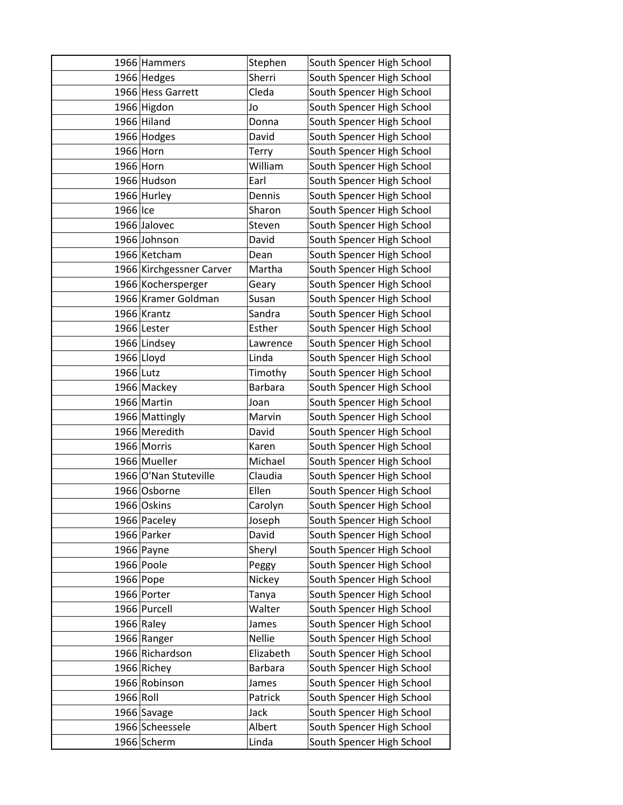|           | 1966 Hammers             | Stephen        | South Spencer High School |
|-----------|--------------------------|----------------|---------------------------|
|           | 1966 Hedges              | Sherri         | South Spencer High School |
|           | 1966 Hess Garrett        | Cleda          | South Spencer High School |
|           | 1966 Higdon              | Jo             | South Spencer High School |
|           | 1966 Hiland              | Donna          | South Spencer High School |
|           | 1966 Hodges              | David          | South Spencer High School |
|           | 1966 Horn                | Terry          | South Spencer High School |
|           | 1966 Horn                | William        | South Spencer High School |
|           | 1966 Hudson              | Earl           | South Spencer High School |
|           | 1966 Hurley              | Dennis         | South Spencer High School |
| 1966 Ice  |                          | Sharon         | South Spencer High School |
|           | 1966 Jalovec             | Steven         | South Spencer High School |
|           | 1966 Johnson             | David          | South Spencer High School |
|           | 1966 Ketcham             | Dean           | South Spencer High School |
|           | 1966 Kirchgessner Carver | Martha         | South Spencer High School |
|           | 1966 Kochersperger       | Geary          | South Spencer High School |
|           | 1966 Kramer Goldman      | Susan          | South Spencer High School |
|           | 1966 Krantz              | Sandra         | South Spencer High School |
|           | 1966 Lester              | Esther         | South Spencer High School |
|           | 1966 Lindsey             | Lawrence       | South Spencer High School |
|           | 1966 Lloyd               | Linda          | South Spencer High School |
| 1966 Lutz |                          | Timothy        | South Spencer High School |
|           | 1966 Mackey              | <b>Barbara</b> | South Spencer High School |
|           | 1966 Martin              | Joan           | South Spencer High School |
|           | 1966 Mattingly           | Marvin         | South Spencer High School |
|           | 1966 Meredith            | David          | South Spencer High School |
|           | 1966 Morris              | Karen          | South Spencer High School |
|           | 1966 Mueller             | Michael        | South Spencer High School |
|           | 1966 O'Nan Stuteville    | Claudia        | South Spencer High School |
|           | 1966 Osborne             | Ellen          | South Spencer High School |
|           | 1966 Oskins              | Carolyn        | South Spencer High School |
|           | 1966 Paceley             | Joseph         | South Spencer High School |
|           | 1966 Parker              | David          | South Spencer High School |
|           | 1966 Payne               | Sheryl         | South Spencer High School |
|           | 1966 Poole               | Peggy          | South Spencer High School |
|           | 1966 Pope                | Nickey         | South Spencer High School |
|           | 1966 Porter              | Tanya          | South Spencer High School |
|           | 1966 Purcell             | Walter         | South Spencer High School |
|           | 1966 Raley               | James          | South Spencer High School |
|           | 1966 Ranger              | Nellie         | South Spencer High School |
|           | 1966 Richardson          | Elizabeth      | South Spencer High School |
|           | 1966 Richey              | <b>Barbara</b> | South Spencer High School |
|           | 1966 Robinson            | James          | South Spencer High School |
| 1966 Roll |                          | Patrick        | South Spencer High School |
|           | 1966 Savage              | Jack           | South Spencer High School |
|           | 1966 Scheessele          | Albert         | South Spencer High School |
|           | 1966 Scherm              | Linda          | South Spencer High School |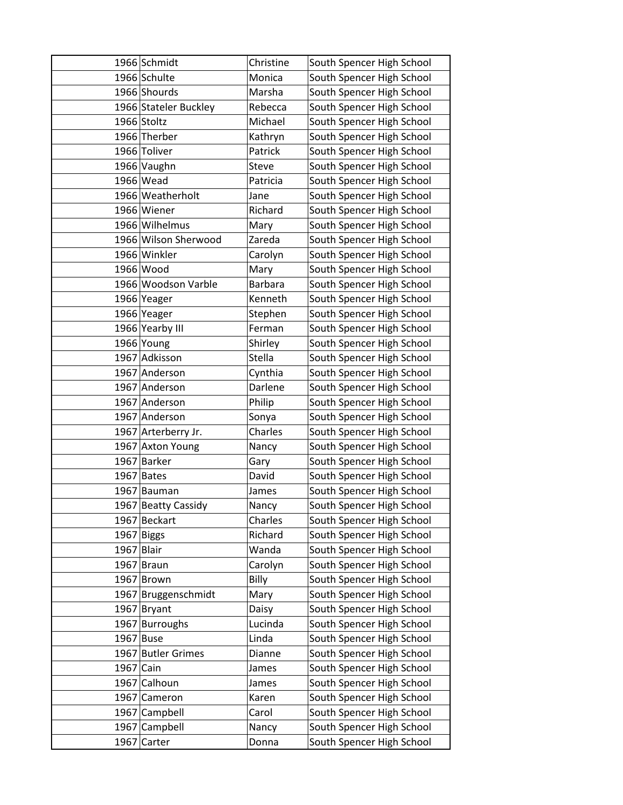|              | 1966 Schmidt          | Christine      | South Spencer High School |
|--------------|-----------------------|----------------|---------------------------|
|              | 1966 Schulte          | Monica         | South Spencer High School |
|              | 1966 Shourds          | Marsha         | South Spencer High School |
|              | 1966 Stateler Buckley | Rebecca        | South Spencer High School |
|              | 1966 Stoltz           | Michael        | South Spencer High School |
|              | 1966 Therber          | Kathryn        | South Spencer High School |
|              | 1966 Toliver          | Patrick        | South Spencer High School |
|              | 1966 Vaughn           | Steve          | South Spencer High School |
|              | 1966 Wead             | Patricia       | South Spencer High School |
|              | 1966 Weatherholt      | Jane           | South Spencer High School |
|              | 1966 Wiener           | Richard        | South Spencer High School |
|              | 1966 Wilhelmus        | Mary           | South Spencer High School |
|              | 1966 Wilson Sherwood  | Zareda         | South Spencer High School |
|              | 1966 Winkler          | Carolyn        | South Spencer High School |
|              | 1966 Wood             | Mary           | South Spencer High School |
|              | 1966 Woodson Varble   | <b>Barbara</b> | South Spencer High School |
|              | 1966 Yeager           | Kenneth        | South Spencer High School |
|              | 1966 Yeager           | Stephen        | South Spencer High School |
|              | 1966 Yearby III       | Ferman         | South Spencer High School |
|              | 1966 Young            | Shirley        | South Spencer High School |
|              | 1967 Adkisson         | Stella         | South Spencer High School |
|              | 1967 Anderson         | Cynthia        | South Spencer High School |
|              | 1967 Anderson         | Darlene        | South Spencer High School |
|              | 1967 Anderson         | Philip         | South Spencer High School |
|              | 1967 Anderson         | Sonya          | South Spencer High School |
|              | 1967 Arterberry Jr.   | Charles        | South Spencer High School |
|              | 1967 Axton Young      | Nancy          | South Spencer High School |
| 1967         | <b>Barker</b>         | Gary           | South Spencer High School |
| 1967         | <b>Bates</b>          | David          | South Spencer High School |
|              | 1967 Bauman           | James          | South Spencer High School |
|              | 1967 Beatty Cassidy   | Nancy          | South Spencer High School |
| 1967         | <b>Beckart</b>        | Charles        | South Spencer High School |
| 1967         | <b>Biggs</b>          | Richard        | South Spencer High School |
| $1967$ Blair |                       | Wanda          | South Spencer High School |
|              | 1967 Braun            | Carolyn        | South Spencer High School |
|              | 1967 Brown            | Billy          | South Spencer High School |
|              | 1967 Bruggenschmidt   | Mary           | South Spencer High School |
| 1967         | Bryant                | Daisy          | South Spencer High School |
|              | 1967 Burroughs        | Lucinda        | South Spencer High School |
| 1967 Buse    |                       | Linda          | South Spencer High School |
|              | 1967 Butler Grimes    | Dianne         | South Spencer High School |
| 1967         | Cain                  | James          | South Spencer High School |
| 1967         | Calhoun               | James          | South Spencer High School |
| 1967         | Cameron               | Karen          | South Spencer High School |
| 1967         | Campbell              | Carol          | South Spencer High School |
| 1967         | Campbell              | Nancy          | South Spencer High School |
| 1967         | Carter                | Donna          | South Spencer High School |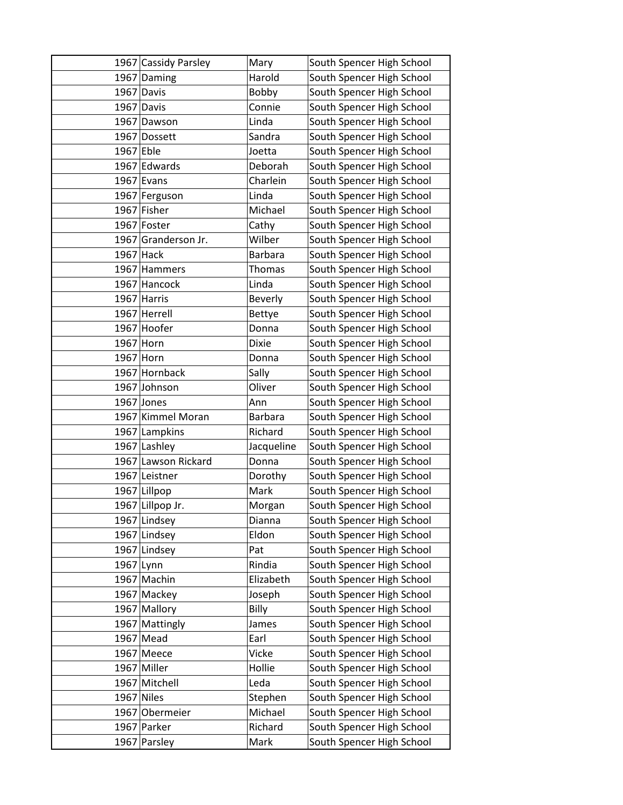|              | 1967 Cassidy Parsley | Mary           | South Spencer High School |
|--------------|----------------------|----------------|---------------------------|
|              | 1967 Daming          | Harold         | South Spencer High School |
|              | 1967 Davis           | Bobby          | South Spencer High School |
|              | 1967 Davis           | Connie         | South Spencer High School |
|              | 1967 Dawson          | Linda          | South Spencer High School |
|              | 1967 Dossett         | Sandra         | South Spencer High School |
| 1967 Eble    |                      | Joetta         | South Spencer High School |
|              | 1967 Edwards         | Deborah        | South Spencer High School |
|              | $1967$ Evans         | Charlein       | South Spencer High School |
|              | 1967 Ferguson        | Linda          | South Spencer High School |
|              | 1967 Fisher          | Michael        | South Spencer High School |
|              | 1967 Foster          | Cathy          | South Spencer High School |
|              | 1967 Granderson Jr.  | Wilber         | South Spencer High School |
|              | $1967$ Hack          | <b>Barbara</b> | South Spencer High School |
|              | 1967 Hammers         | <b>Thomas</b>  | South Spencer High School |
|              | 1967 Hancock         | Linda          | South Spencer High School |
|              | 1967 Harris          | <b>Beverly</b> | South Spencer High School |
|              | 1967 Herrell         | <b>Bettye</b>  | South Spencer High School |
|              | 1967 Hoofer          | Donna          | South Spencer High School |
|              | 1967 Horn            | <b>Dixie</b>   | South Spencer High School |
| 1967 Horn    |                      | Donna          | South Spencer High School |
|              | 1967 Hornback        | Sally          | South Spencer High School |
|              | 1967 Johnson         | Oliver         | South Spencer High School |
|              | 1967 Jones           | Ann            | South Spencer High School |
|              | 1967 Kimmel Moran    | Barbara        | South Spencer High School |
|              | 1967 Lampkins        | Richard        | South Spencer High School |
|              | 1967 Lashley         | Jacqueline     | South Spencer High School |
|              | 1967 Lawson Rickard  | Donna          | South Spencer High School |
|              | 1967 Leistner        | Dorothy        | South Spencer High School |
|              | 1967 Lillpop         | Mark           | South Spencer High School |
|              | 1967 Lillpop Jr.     | Morgan         | South Spencer High School |
|              | 1967 Lindsey         | Dianna         | South Spencer High School |
|              | 1967 Lindsey         | Eldon          | South Spencer High School |
|              | 1967 Lindsey         | Pat            | South Spencer High School |
| 1967         | Lynn                 | Rindia         | South Spencer High School |
|              | 1967 Machin          | Elizabeth      | South Spencer High School |
|              | 1967 Mackey          | Joseph         | South Spencer High School |
|              | 1967 Mallory         | Billy          | South Spencer High School |
|              | 1967 Mattingly       | James          | South Spencer High School |
|              | 1967 Mead            | Earl           | South Spencer High School |
|              | $1967$ Meece         | Vicke          | South Spencer High School |
|              | 1967 Miller          | Hollie         | South Spencer High School |
|              | 1967 Mitchell        | Leda           | South Spencer High School |
| $1967$ Niles |                      | Stephen        | South Spencer High School |
|              | 1967 Obermeier       | Michael        | South Spencer High School |
|              | 1967 Parker          | Richard        | South Spencer High School |
|              | 1967 Parsley         | Mark           | South Spencer High School |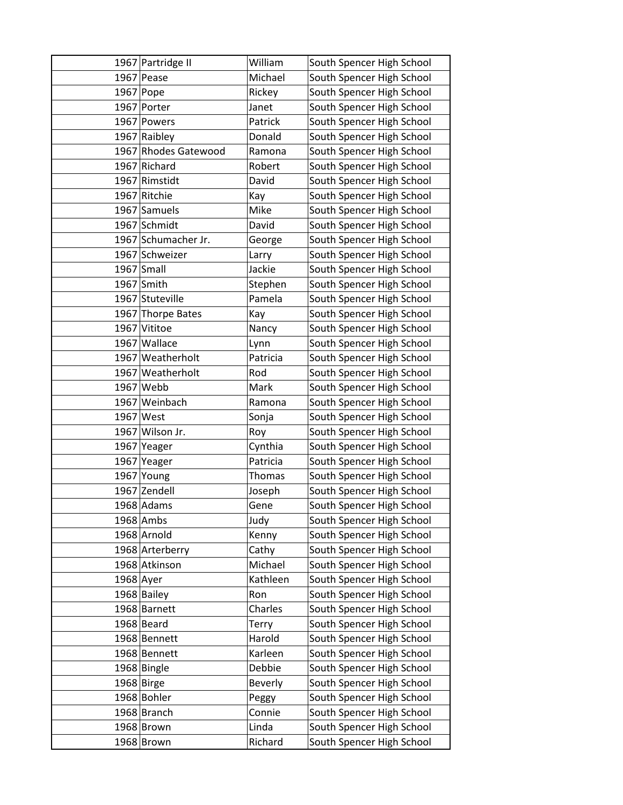|             | 1967 Partridge II    | William       | South Spencer High School |
|-------------|----------------------|---------------|---------------------------|
|             | 1967 Pease           | Michael       | South Spencer High School |
|             | 1967 Pope            | Rickey        | South Spencer High School |
|             | 1967 Porter          | Janet         | South Spencer High School |
|             | 1967 Powers          | Patrick       | South Spencer High School |
|             | 1967 Raibley         | Donald        | South Spencer High School |
|             | 1967 Rhodes Gatewood | Ramona        | South Spencer High School |
|             | 1967 Richard         | Robert        | South Spencer High School |
|             | 1967 Rimstidt        | David         | South Spencer High School |
|             | 1967 Ritchie         | Kay           | South Spencer High School |
|             | 1967 Samuels         | Mike          | South Spencer High School |
|             | 1967 Schmidt         | David         | South Spencer High School |
|             | 1967 Schumacher Jr.  | George        | South Spencer High School |
|             | 1967 Schweizer       | Larry         | South Spencer High School |
|             | $1967$ Small         | Jackie        | South Spencer High School |
|             | 1967 Smith           | Stephen       | South Spencer High School |
|             | 1967 Stuteville      | Pamela        | South Spencer High School |
|             | 1967 Thorpe Bates    | Kay           | South Spencer High School |
|             | 1967 Vititoe         | Nancy         | South Spencer High School |
|             | 1967 Wallace         | Lynn          | South Spencer High School |
|             | 1967 Weatherholt     | Patricia      | South Spencer High School |
|             | 1967 Weatherholt     | Rod           | South Spencer High School |
|             | 1967 Webb            | Mark          | South Spencer High School |
|             | 1967 Weinbach        | Ramona        | South Spencer High School |
|             | 1967 West            | Sonja         | South Spencer High School |
|             | 1967 Wilson Jr.      | Roy           | South Spencer High School |
|             | 1967 Yeager          | Cynthia       | South Spencer High School |
|             | 1967 Yeager          | Patricia      | South Spencer High School |
|             | $1967$ Young         | <b>Thomas</b> | South Spencer High School |
|             | 1967 Zendell         | Joseph        | South Spencer High School |
|             | 1968 Adams           | Gene          | South Spencer High School |
|             | 1968 Ambs            | Judy          | South Spencer High School |
|             | 1968 Arnold          | Kenny         | South Spencer High School |
|             | 1968 Arterberry      | Cathy         | South Spencer High School |
|             | 1968 Atkinson        | Michael       | South Spencer High School |
| $1968$ Ayer |                      | Kathleen      | South Spencer High School |
|             | 1968 Bailey          | Ron           | South Spencer High School |
|             | 1968 Barnett         | Charles       | South Spencer High School |
|             | 1968 Beard           | Terry         | South Spencer High School |
|             | 1968 Bennett         | Harold        | South Spencer High School |
|             | 1968 Bennett         | Karleen       | South Spencer High School |
|             | 1968 Bingle          | Debbie        | South Spencer High School |
|             | 1968 Birge           | Beverly       | South Spencer High School |
|             | 1968 Bohler          | Peggy         | South Spencer High School |
|             | 1968 Branch          | Connie        | South Spencer High School |
|             | 1968 Brown           | Linda         | South Spencer High School |
|             | 1968 Brown           | Richard       | South Spencer High School |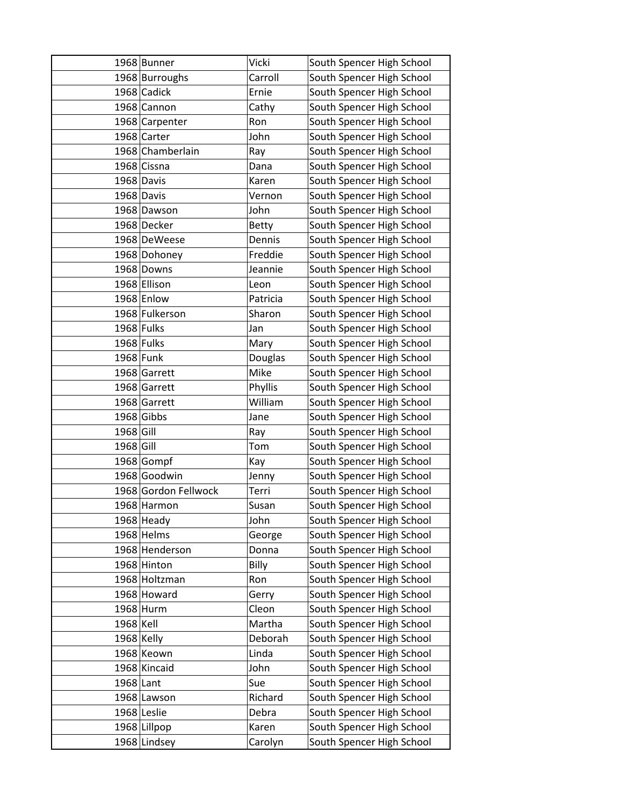|              | 1968 Bunner          | Vicki    | South Spencer High School |
|--------------|----------------------|----------|---------------------------|
|              | 1968 Burroughs       | Carroll  | South Spencer High School |
|              | 1968 Cadick          | Ernie    | South Spencer High School |
|              | 1968 Cannon          | Cathy    | South Spencer High School |
|              | 1968 Carpenter       | Ron      | South Spencer High School |
|              | 1968 Carter          | John     | South Spencer High School |
|              | 1968 Chamberlain     | Ray      | South Spencer High School |
|              | 1968 Cissna          | Dana     | South Spencer High School |
|              | 1968 Davis           | Karen    | South Spencer High School |
|              | 1968 Davis           | Vernon   | South Spencer High School |
|              | 1968 Dawson          | John     | South Spencer High School |
|              | 1968 Decker          | Betty    | South Spencer High School |
|              | 1968 DeWeese         | Dennis   | South Spencer High School |
|              | 1968 Dohoney         | Freddie  | South Spencer High School |
|              | 1968 Downs           | Jeannie  | South Spencer High School |
|              | 1968 Ellison         | Leon     | South Spencer High School |
|              | 1968 Enlow           | Patricia | South Spencer High School |
|              | 1968 Fulkerson       | Sharon   | South Spencer High School |
|              | 1968 Fulks           | Jan      | South Spencer High School |
|              | 1968 Fulks           | Mary     | South Spencer High School |
|              | 1968 Funk            | Douglas  | South Spencer High School |
|              | 1968 Garrett         | Mike     | South Spencer High School |
|              | 1968 Garrett         | Phyllis  | South Spencer High School |
|              | 1968 Garrett         | William  | South Spencer High School |
|              | 1968 Gibbs           | Jane     | South Spencer High School |
| 1968 Gill    |                      | Ray      | South Spencer High School |
| 1968 Gill    |                      | Tom      | South Spencer High School |
|              | 1968 Gompf           | Kay      | South Spencer High School |
|              | 1968 Goodwin         | Jenny    | South Spencer High School |
|              | 1968 Gordon Fellwock | Terri    | South Spencer High School |
|              | 1968 Harmon          | Susan    | South Spencer High School |
|              | $1968$ Heady         | John     | South Spencer High School |
|              | 1968 Helms           | George   | South Spencer High School |
|              | 1968 Henderson       | Donna    | South Spencer High School |
|              | 1968 Hinton          | Billy    | South Spencer High School |
|              | 1968 Holtzman        | Ron      | South Spencer High School |
|              | 1968 Howard          | Gerry    | South Spencer High School |
|              | 1968 Hurm            | Cleon    | South Spencer High School |
| 1968 Kell    |                      | Martha   | South Spencer High School |
| $1968$ Kelly |                      | Deborah  | South Spencer High School |
|              | 1968 Keown           | Linda    | South Spencer High School |
|              | 1968 Kincaid         | John     | South Spencer High School |
| 1968 Lant    |                      | Sue      | South Spencer High School |
|              | 1968 Lawson          | Richard  | South Spencer High School |
|              | $1968$ Leslie        | Debra    | South Spencer High School |
|              | 1968 Lillpop         | Karen    | South Spencer High School |
|              | 1968 Lindsey         | Carolyn  | South Spencer High School |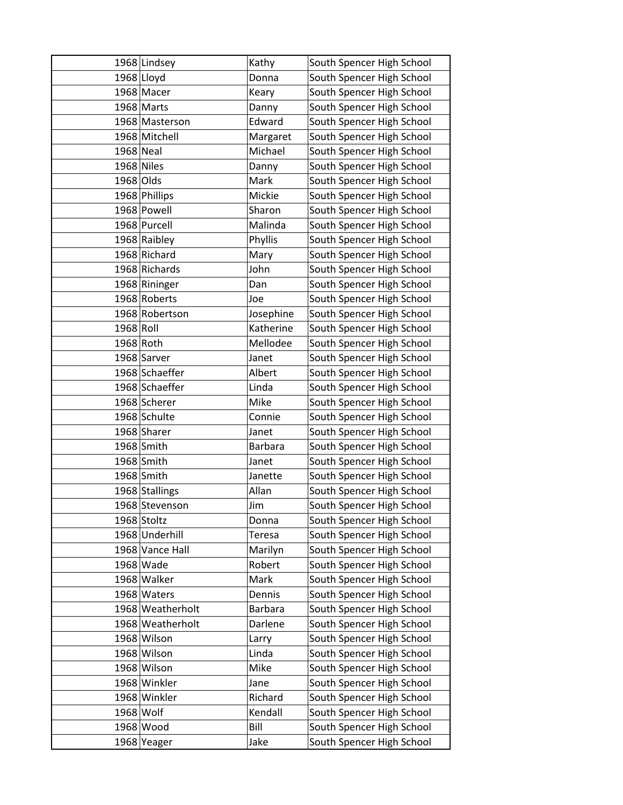|           | 1968 Lindsey     | Kathy          | South Spencer High School |
|-----------|------------------|----------------|---------------------------|
|           | 1968 Lloyd       | Donna          | South Spencer High School |
|           | 1968 Macer       | Keary          | South Spencer High School |
|           | 1968 Marts       | Danny          | South Spencer High School |
|           | 1968 Masterson   | Edward         | South Spencer High School |
|           | 1968 Mitchell    | Margaret       | South Spencer High School |
| 1968 Neal |                  | Michael        | South Spencer High School |
|           | 1968 Niles       | Danny          | South Spencer High School |
| 1968 Olds |                  | Mark           | South Spencer High School |
|           | 1968 Phillips    | Mickie         | South Spencer High School |
|           | 1968 Powell      | Sharon         | South Spencer High School |
|           | 1968 Purcell     | Malinda        | South Spencer High School |
|           | 1968 Raibley     | Phyllis        | South Spencer High School |
|           | 1968 Richard     | Mary           | South Spencer High School |
|           | 1968 Richards    | John           | South Spencer High School |
|           | 1968 Rininger    | Dan            | South Spencer High School |
|           | 1968 Roberts     | Joe            | South Spencer High School |
|           | 1968 Robertson   | Josephine      | South Spencer High School |
| 1968 Roll |                  | Katherine      | South Spencer High School |
|           | 1968 Roth        | Mellodee       | South Spencer High School |
|           | 1968 Sarver      | Janet          | South Spencer High School |
|           | 1968 Schaeffer   | Albert         | South Spencer High School |
|           | 1968 Schaeffer   | Linda          | South Spencer High School |
|           | 1968 Scherer     | Mike           | South Spencer High School |
|           | 1968 Schulte     | Connie         | South Spencer High School |
|           | 1968 Sharer      | Janet          | South Spencer High School |
|           | $1968$ Smith     | <b>Barbara</b> | South Spencer High School |
|           | $1968$ Smith     | Janet          | South Spencer High School |
|           | 1968 Smith       | Janette        | South Spencer High School |
|           | 1968 Stallings   | Allan          | South Spencer High School |
|           | 1968 Stevenson   | Jim            | South Spencer High School |
|           | 1968 Stoltz      | Donna          | South Spencer High School |
|           | 1968 Underhill   | Teresa         | South Spencer High School |
|           | 1968 Vance Hall  | Marilyn        | South Spencer High School |
|           | 1968 Wade        | Robert         | South Spencer High School |
|           | 1968 Walker      | Mark           | South Spencer High School |
|           | 1968 Waters      | Dennis         | South Spencer High School |
|           | 1968 Weatherholt | <b>Barbara</b> | South Spencer High School |
|           | 1968 Weatherholt | Darlene        | South Spencer High School |
|           | 1968 Wilson      | Larry          | South Spencer High School |
|           | 1968 Wilson      | Linda          | South Spencer High School |
|           | 1968 Wilson      | Mike           | South Spencer High School |
|           | 1968 Winkler     | Jane           | South Spencer High School |
|           | 1968 Winkler     | Richard        | South Spencer High School |
|           | 1968 Wolf        | Kendall        | South Spencer High School |
|           | 1968 Wood        | Bill           | South Spencer High School |
|           | 1968 Yeager      | Jake           | South Spencer High School |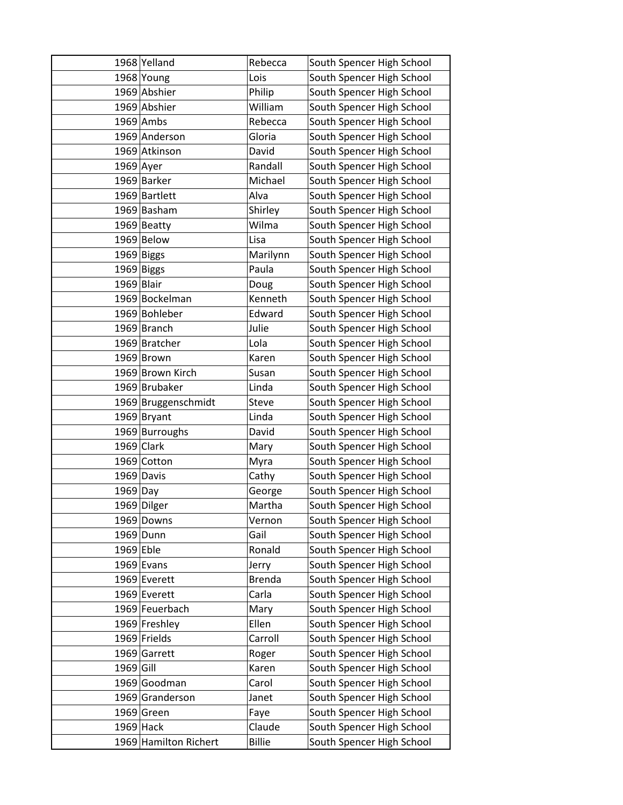|             | 1968 Yelland          | Rebecca       | South Spencer High School |
|-------------|-----------------------|---------------|---------------------------|
|             | 1968 Young            | Lois          | South Spencer High School |
|             | 1969 Abshier          | Philip        | South Spencer High School |
|             | 1969 Abshier          | William       | South Spencer High School |
|             | 1969 Ambs             | Rebecca       | South Spencer High School |
|             | 1969 Anderson         | Gloria        | South Spencer High School |
|             | 1969 Atkinson         | David         | South Spencer High School |
| $1969$ Ayer |                       | Randall       | South Spencer High School |
|             | 1969 Barker           | Michael       | South Spencer High School |
|             | 1969 Bartlett         | Alva          | South Spencer High School |
|             | 1969 Basham           | Shirley       | South Spencer High School |
|             | $1969$ Beatty         | Wilma         | South Spencer High School |
|             | 1969 Below            | Lisa          | South Spencer High School |
|             | 1969 Biggs            | Marilynn      | South Spencer High School |
|             | 1969 Biggs            | Paula         | South Spencer High School |
| 1969 Blair  |                       | Doug          | South Spencer High School |
|             | 1969 Bockelman        | Kenneth       | South Spencer High School |
|             | 1969 Bohleber         | Edward        | South Spencer High School |
|             | 1969 Branch           | Julie         | South Spencer High School |
|             | 1969 Bratcher         | Lola          | South Spencer High School |
|             | 1969 Brown            | Karen         | South Spencer High School |
|             | 1969 Brown Kirch      | Susan         | South Spencer High School |
|             | 1969 Brubaker         | Linda         | South Spencer High School |
|             | 1969 Bruggenschmidt   | Steve         | South Spencer High School |
|             | $1969$ Bryant         | Linda         | South Spencer High School |
|             | 1969 Burroughs        | David         | South Spencer High School |
|             | $1969$ Clark          | Mary          | South Spencer High School |
|             | 1969 Cotton           | Myra          | South Spencer High School |
|             | 1969 Davis            | Cathy         | South Spencer High School |
| $1969$ Day  |                       | George        | South Spencer High School |
|             | 1969 Dilger           | Martha        | South Spencer High School |
|             | 1969 Downs            | Vernon        | South Spencer High School |
|             | 1969 Dunn             | Gail          | South Spencer High School |
| $1969$ Eble |                       | Ronald        | South Spencer High School |
|             | $1969$ Evans          | Jerry         | South Spencer High School |
|             | 1969 Everett          | <b>Brenda</b> | South Spencer High School |
|             | 1969 Everett          | Carla         | South Spencer High School |
|             | 1969 Feuerbach        | Mary          | South Spencer High School |
|             | 1969 Freshley         | Ellen         | South Spencer High School |
|             | $1969$ Frields        | Carroll       | South Spencer High School |
|             | 1969 Garrett          | Roger         | South Spencer High School |
| 1969 Gill   |                       | Karen         | South Spencer High School |
|             | 1969 Goodman          | Carol         | South Spencer High School |
|             | 1969 Granderson       | Janet         | South Spencer High School |
|             | 1969 Green            | Faye          | South Spencer High School |
|             | $1969$ Hack           | Claude        | South Spencer High School |
|             | 1969 Hamilton Richert | <b>Billie</b> | South Spencer High School |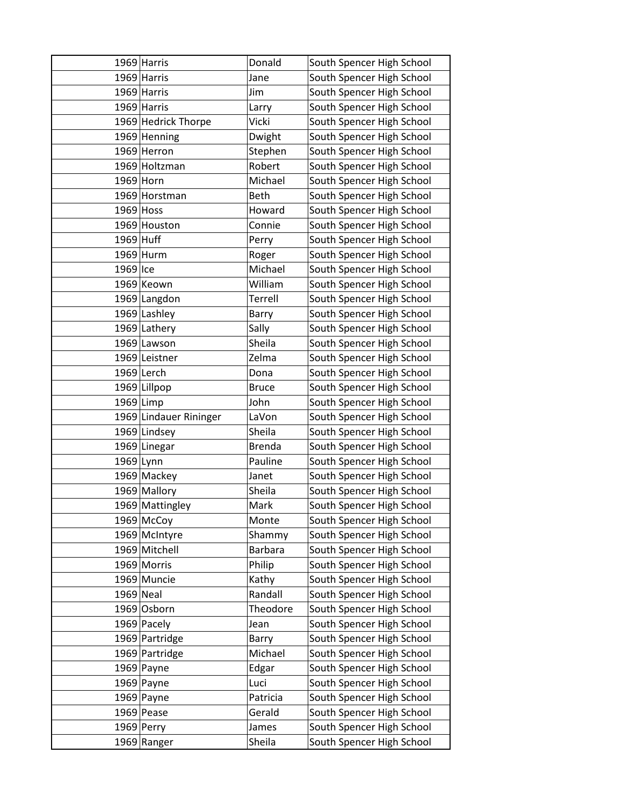|             | 1969 Harris            | Donald         | South Spencer High School |
|-------------|------------------------|----------------|---------------------------|
|             | 1969 Harris            | Jane           | South Spencer High School |
|             | 1969 Harris            | Jim            | South Spencer High School |
|             | 1969 Harris            | Larry          | South Spencer High School |
|             | 1969 Hedrick Thorpe    | Vicki          | South Spencer High School |
|             | 1969 Henning           | Dwight         | South Spencer High School |
|             | 1969 Herron            | Stephen        | South Spencer High School |
|             | 1969 Holtzman          | Robert         | South Spencer High School |
|             | $1969$ Horn            | Michael        | South Spencer High School |
|             | 1969 Horstman          | Beth           | South Spencer High School |
| $1969$ Hoss |                        | Howard         | South Spencer High School |
|             | 1969 Houston           | Connie         | South Spencer High School |
| 1969 Huff   |                        | Perry          | South Spencer High School |
|             | $1969$ Hurm            | Roger          | South Spencer High School |
| 1969 Ice    |                        | Michael        | South Spencer High School |
|             | 1969 Keown             | William        | South Spencer High School |
|             | 1969 Langdon           | Terrell        | South Spencer High School |
|             | 1969 Lashley           | Barry          | South Spencer High School |
|             | 1969 Lathery           | Sally          | South Spencer High School |
|             | 1969 Lawson            | Sheila         | South Spencer High School |
|             | 1969 Leistner          | Zelma          | South Spencer High School |
|             | $1969$ Lerch           | Dona           | South Spencer High School |
|             | 1969 Lillpop           | <b>Bruce</b>   | South Spencer High School |
| $1969$ Limp |                        | John           | South Spencer High School |
|             | 1969 Lindauer Rininger | LaVon          | South Spencer High School |
|             | 1969 Lindsey           | Sheila         | South Spencer High School |
|             | 1969 Linegar           | <b>Brenda</b>  | South Spencer High School |
| $1969$ Lynn |                        | Pauline        | South Spencer High School |
|             | 1969 Mackey            | Janet          | South Spencer High School |
|             | 1969 Mallory           | Sheila         | South Spencer High School |
|             | 1969 Mattingley        | Mark           | South Spencer High School |
|             | 1969 McCoy             | Monte          | South Spencer High School |
|             | 1969 McIntyre          | Shammy         | South Spencer High School |
|             | 1969 Mitchell          | <b>Barbara</b> | South Spencer High School |
|             | 1969 Morris            | Philip         | South Spencer High School |
|             | 1969 Muncie            | Kathy          | South Spencer High School |
| 1969 Neal   |                        | Randall        | South Spencer High School |
|             | 1969 Osborn            | Theodore       | South Spencer High School |
|             | 1969 Pacely            | Jean           | South Spencer High School |
|             | 1969 Partridge         | Barry          | South Spencer High School |
|             | 1969 Partridge         | Michael        | South Spencer High School |
|             | $1969$ Payne           | Edgar          | South Spencer High School |
|             | 1969 Payne             | Luci           | South Spencer High School |
|             | 1969 Payne             | Patricia       | South Spencer High School |
|             | $1969$ Pease           | Gerald         | South Spencer High School |
|             | 1969 Perry             | James          | South Spencer High School |
|             | 1969 Ranger            | Sheila         | South Spencer High School |